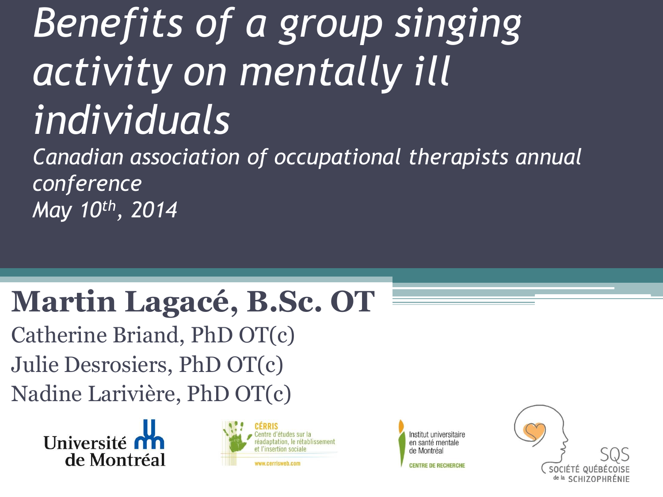# *Benefits of a group singing activity on mentally ill individuals*

*Canadian association of occupational therapists annual conference May 10th, 2014*

#### **Martin Lagacé, B.Sc. OT**

Catherine Briand, PhD OT(c) Julie Desrosiers, PhD OT(c) Nadine Larivière, PhD OT(c)

> Université n' de Montréal



Institut universitaire en santé mentale de Montréa

**CENTRE DE RECHERCHE** 

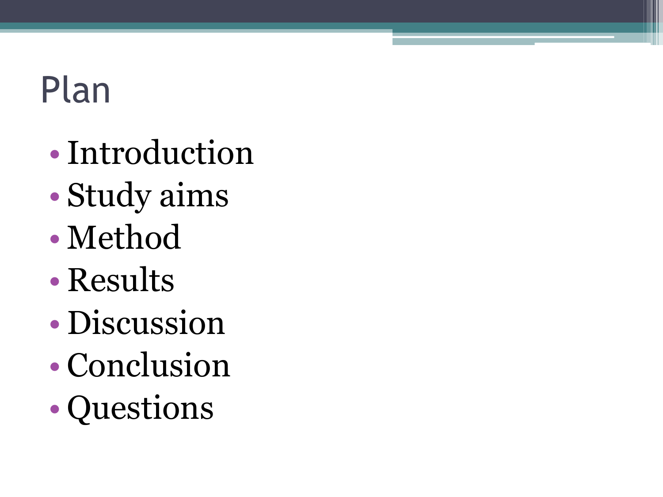# Plan

- •Introduction
- Study aims
- Method
- Results
- Discussion
- Conclusion
- Questions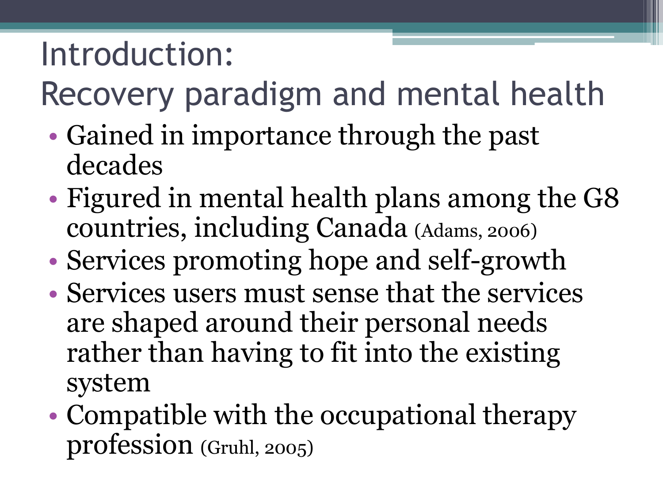#### Introduction:

Recovery paradigm and mental health

- Gained in importance through the past decades
- Figured in mental health plans among the G8 countries, including Canada (Adams, 2006)
- Services promoting hope and self-growth
- Services users must sense that the services are shaped around their personal needs rather than having to fit into the existing system
- Compatible with the occupational therapy profession (Gruhl, 2005)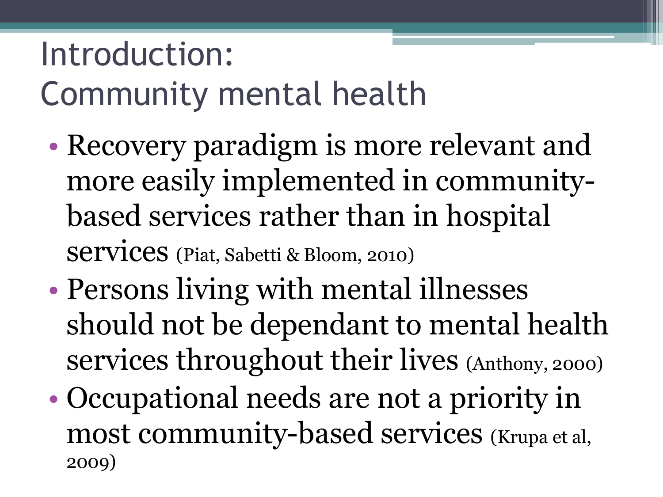#### Introduction: Community mental health

- Recovery paradigm is more relevant and more easily implemented in communitybased services rather than in hospital services (Piat, Sabetti & Bloom, 2010)
- Persons living with mental illnesses should not be dependant to mental health services throughout their lives (Anthony, 2000)
- Occupational needs are not a priority in most community-based services (Krupa et al, 2009)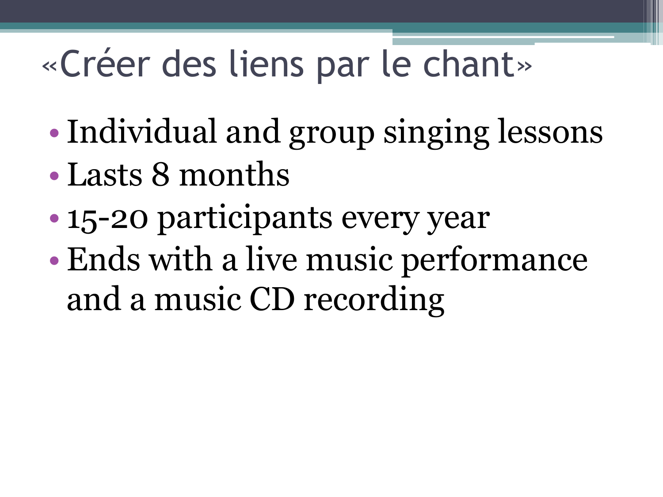# «Créer des liens par le chant»

- Individual and group singing lessons
- Lasts 8 months
- 15-20 participants every year
- Ends with a live music performance and a music CD recording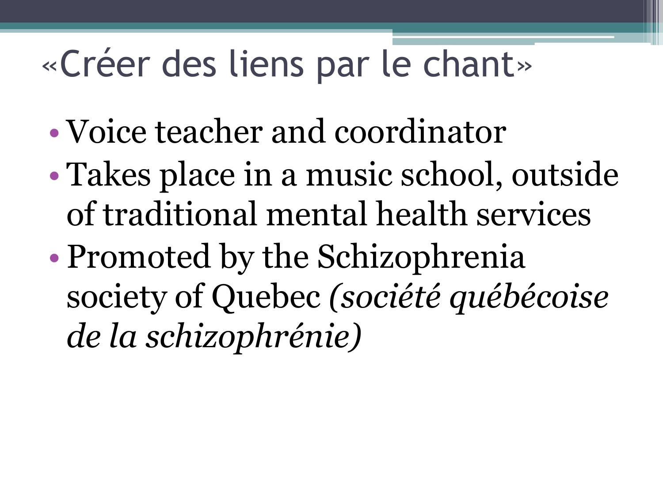## «Créer des liens par le chant»

- Voice teacher and coordinator
- Takes place in a music school, outside of traditional mental health services
- Promoted by the Schizophrenia society of Quebec *(société québécoise de la schizophrénie)*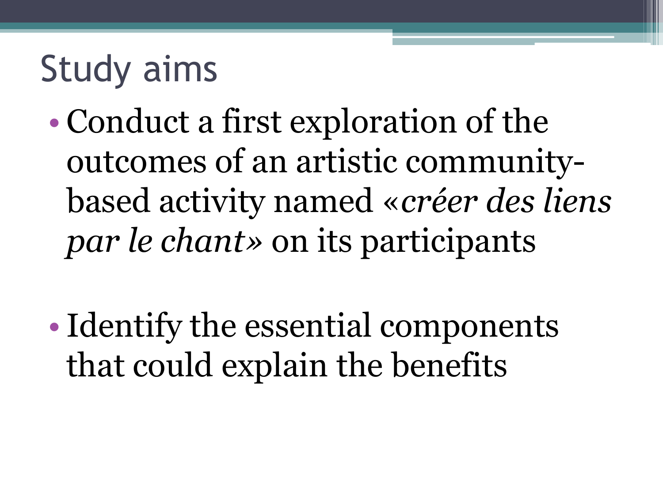### Study aims

- Conduct a first exploration of the outcomes of an artistic communitybased activity named «*créer des liens par le chant»* on its participants
- Identify the essential components that could explain the benefits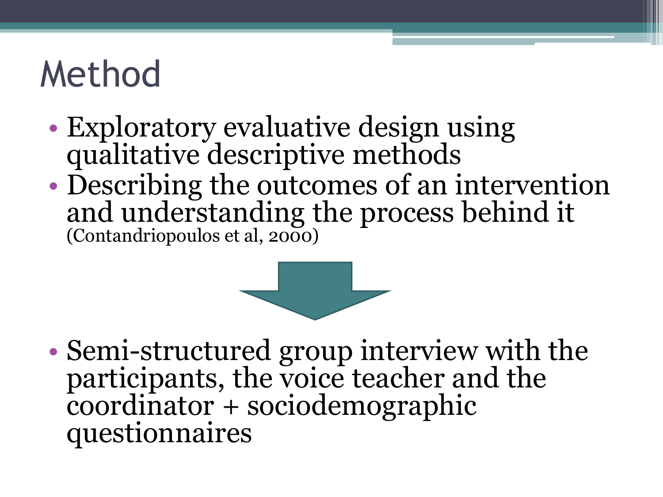## Method

- Exploratory evaluative design using qualitative descriptive methods
- Describing the outcomes of an intervention and understanding the process behind it (Contandriopoulos et al, 2000)



• Semi-structured group interview with the participants, the voice teacher and the coordinator + sociodemographic questionnaires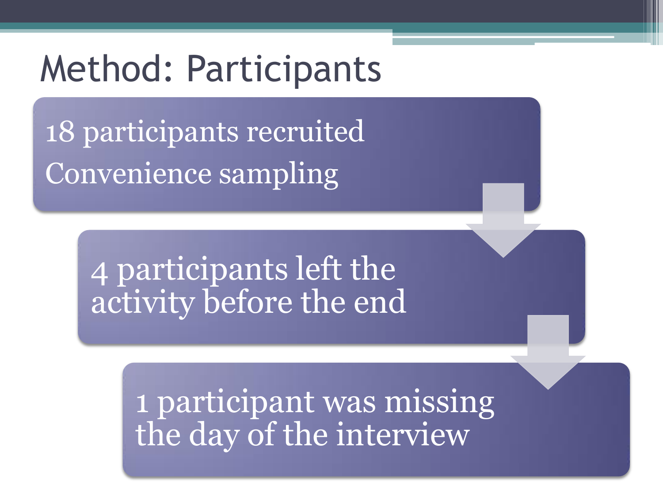#### Method: Participants

18 participants recruited Convenience sampling

> 4 participants left the activity before the end

> > 1 participant was missing the day of the interview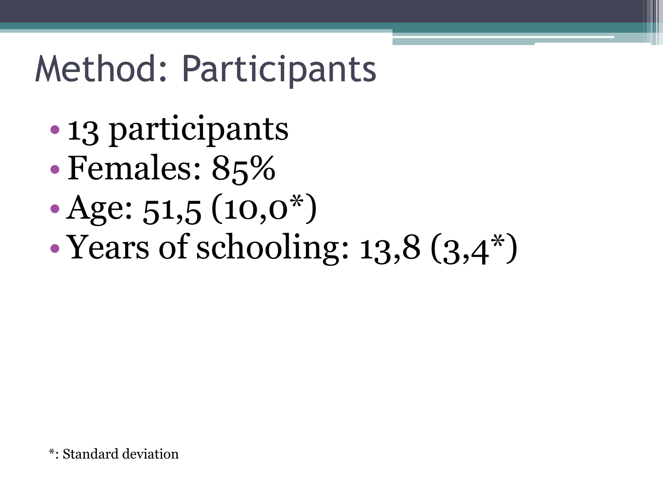### Method: Participants

- 13 participants
- Females: 85%
- Age:  $51,5$   $(10,0^*)$
- Years of schooling: 13,8  $(3,4^*)$

\*: Standard deviation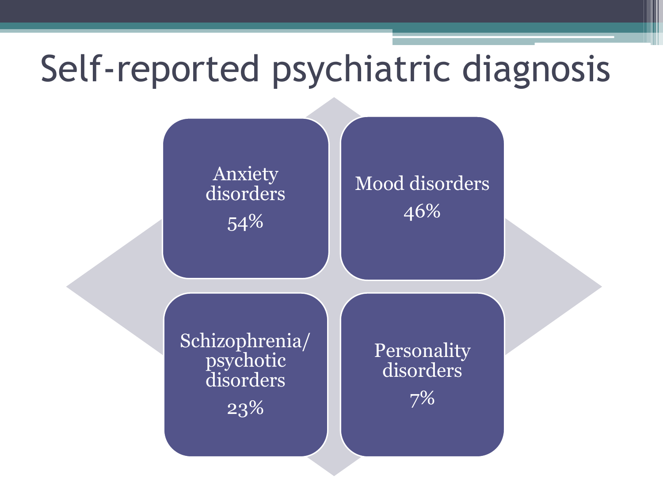## Self-reported psychiatric diagnosis

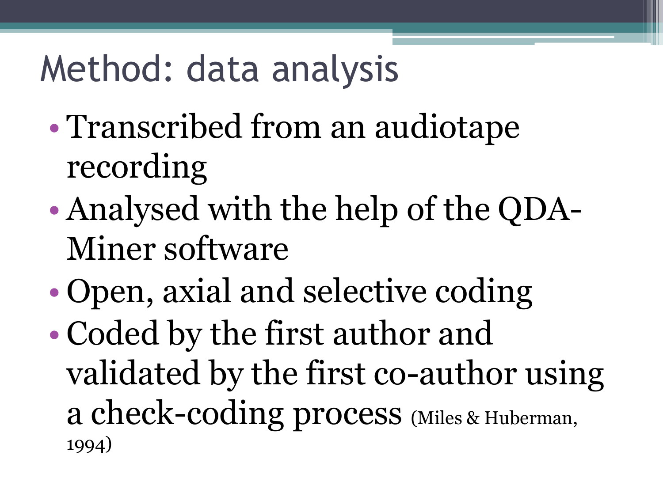### Method: data analysis

- Transcribed from an audiotape recording
- Analysed with the help of the QDA-Miner software
- Open, axial and selective coding
- Coded by the first author and validated by the first co-author using a check-coding process (Miles & Huberman, 1994)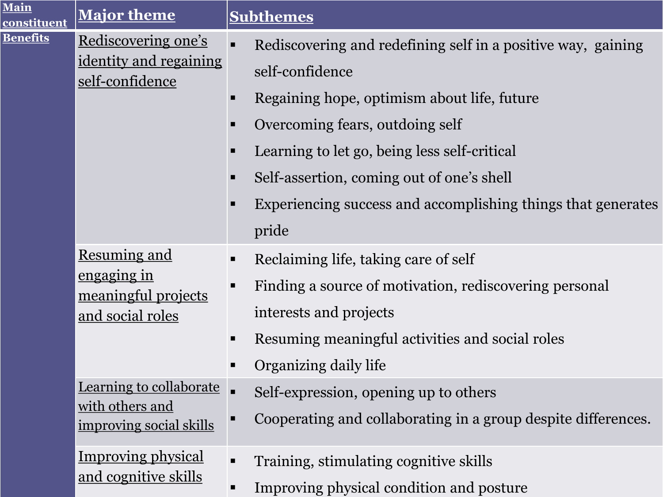| Main<br>constituent | Major theme                                                                          | <b>Subthemes</b>                                                                                                                                                                                                                                                                                                                             |
|---------------------|--------------------------------------------------------------------------------------|----------------------------------------------------------------------------------------------------------------------------------------------------------------------------------------------------------------------------------------------------------------------------------------------------------------------------------------------|
| <b>Benefits</b>     | Rediscovering one's<br><u>identity and regaining</u><br>self-confidence              | Rediscovering and redefining self in a positive way, gaining<br>self-confidence<br>Regaining hope, optimism about life, future<br>ш<br>Overcoming fears, outdoing self<br>Learning to let go, being less self-critical<br>Self-assertion, coming out of one's shell<br>Experiencing success and accomplishing things that generates<br>pride |
|                     | <b>Resuming and</b><br><u>engaging in</u><br>meaningful projects<br>and social roles | Reclaiming life, taking care of self<br>Finding a source of motivation, rediscovering personal<br>п<br>interests and projects<br>Resuming meaningful activities and social roles<br>Organizing daily life                                                                                                                                    |
|                     | Learning to collaborate<br>with others and<br>improving social skills                | Self-expression, opening up to others<br>Cooperating and collaborating in a group despite differences.<br>п                                                                                                                                                                                                                                  |
|                     | <b>Improving physical</b><br><u>and cognitive skills</u>                             | Training, stimulating cognitive skills<br>$\blacksquare$<br>Improving physical condition and posture                                                                                                                                                                                                                                         |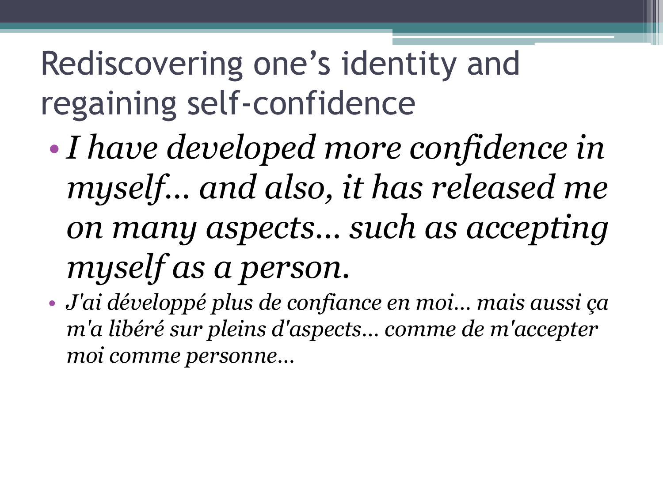### Rediscovering one's identity and regaining self-confidence

- •*I have developed more confidence in myself… and also, it has released me on many aspects… such as accepting myself as a person.*
- *J'ai développé plus de confiance en moi… mais aussi ça m'a libéré sur pleins d'aspects… comme de m'accepter moi comme personne…*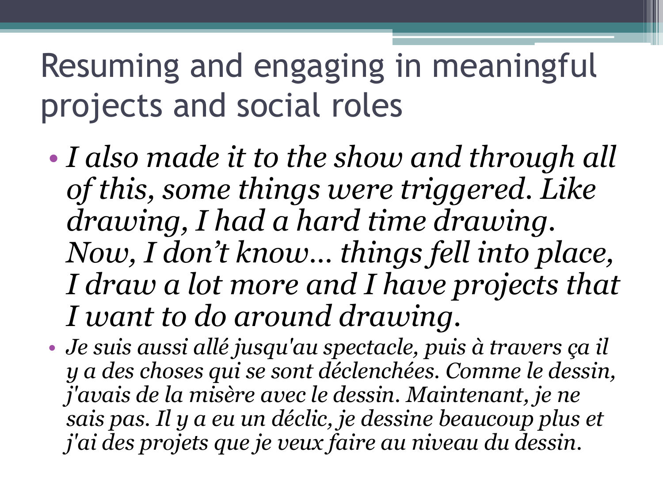### Resuming and engaging in meaningful projects and social roles

- *I also made it to the show and through all of this, some things were triggered. Like drawing, I had a hard time drawing. Now, I don't know… things fell into place, I draw a lot more and I have projects that I want to do around drawing.*
- *Je suis aussi allé jusqu'au spectacle, puis à travers ça il y a des choses qui se sont déclenchées. Comme le dessin, j'avais de la misère avec le dessin. Maintenant, je ne sais pas. Il y a eu un déclic, je dessine beaucoup plus et j'ai des projets que je veux faire au niveau du dessin.*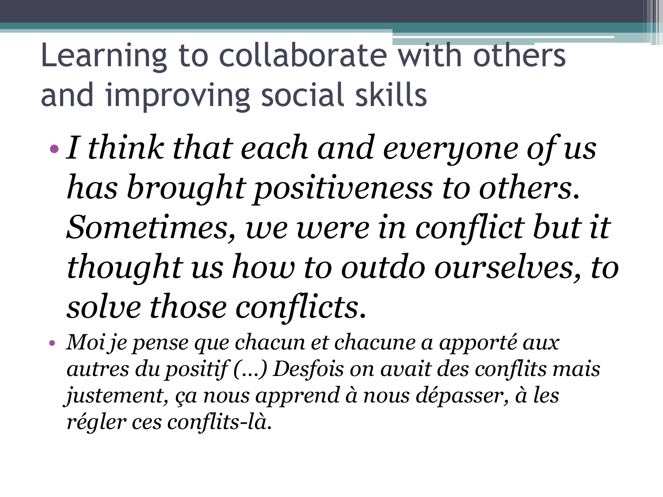Learning to collaborate with others and improving social skills

- •*I think that each and everyone of us has brought positiveness to others. Sometimes, we were in conflict but it thought us how to outdo ourselves, to solve those conflicts.*
- *Moi je pense que chacun et chacune a apporté aux autres du positif (…) Desfois on avait des conflits mais justement, ça nous apprend à nous dépasser, à les régler ces conflits-là.*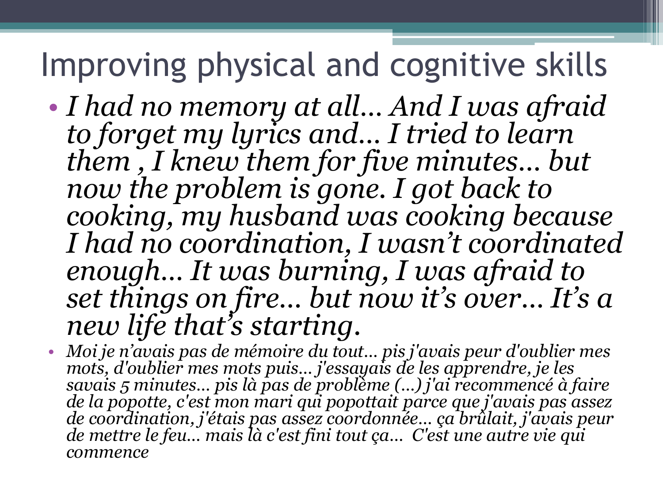#### Improving physical and cognitive skills

- *I had no memory at all… And I was afraid to forget my lyrics and… I tried to learn them , I knew them for five minutes… but now the problem is gone. I got back to cooking, my husband was cooking because I had no coordination, I wasn't coordinated enough… It was burning, I was afraid to set things on fire… but now it's over… It's a new life that's starting.*
- *Moi je n'avais pas de mémoire du tout… pis j'avais peur d'oublier mes mots, d'oublier mes mots puis… j'essayais de les apprendre, je les savais 5 minutes… pis là pas de problème (…) j'ai recommencé à faire de la popotte, c'est mon mari qui popottait parce que j'avais pas assez de coordination, j'étais pas assez coordonnée… ça brûlait, j'avais peur de mettre le feu… mais là c'est fini tout ça… C'est une autre vie qui commence*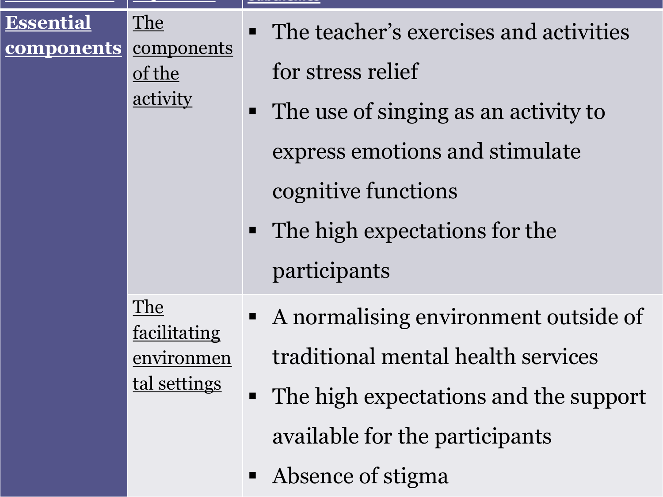| <b>Essential</b><br><u>components</u> | The<br>components<br>of the<br>activity           | • The teacher's exercises and activities<br>for stress relief<br>• The use of singing as an activity to<br>express emotions and stimulate<br>cognitive functions<br>• The high expectations for the |
|---------------------------------------|---------------------------------------------------|-----------------------------------------------------------------------------------------------------------------------------------------------------------------------------------------------------|
|                                       | The<br>facilitating<br>environmen<br>tal settings | participants<br>• A normalising environment outside of<br>traditional mental health services<br>• The high expectations and the support<br>available for the participants<br>• Absence of stigma    |

**Main constituent Major theme Subthemes**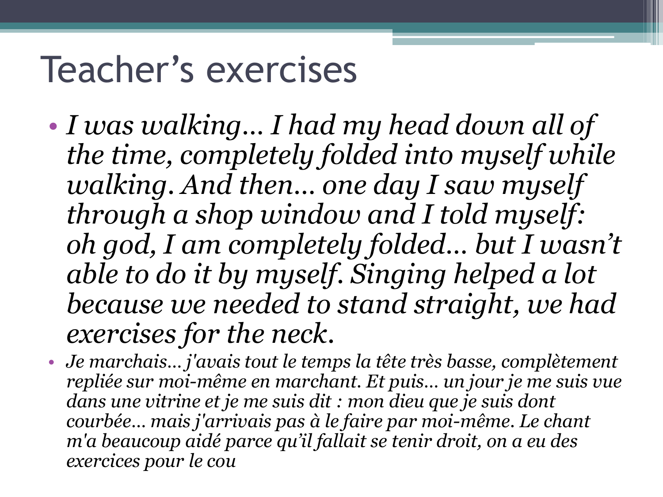### Teacher's exercises

- *I was walking… I had my head down all of the time, completely folded into myself while walking. And then… one day I saw myself through a shop window and I told myself: oh god, I am completely folded… but I wasn't able to do it by myself. Singing helped a lot because we needed to stand straight, we had exercises for the neck.*
- *Je marchais… j'avais tout le temps la tête très basse, complètement repliée sur moi-même en marchant. Et puis… un jour je me suis vue dans une vitrine et je me suis dit : mon dieu que je suis dont courbée… mais j'arrivais pas à le faire par moi-même. Le chant m'a beaucoup aidé parce qu'il fallait se tenir droit, on a eu des exercices pour le cou*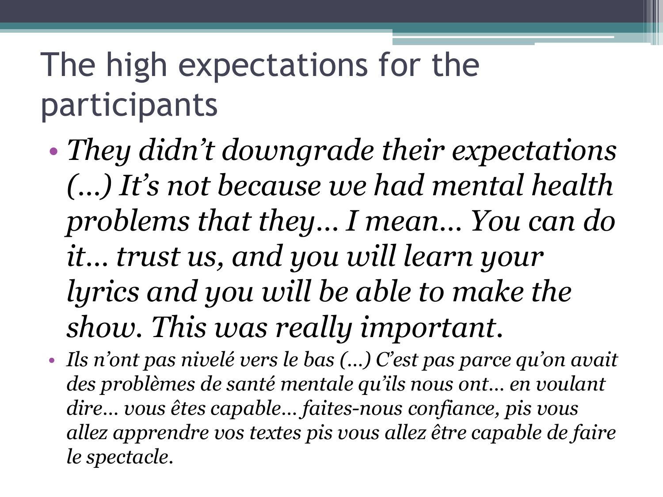### The high expectations for the participants

- *They didn't downgrade their expectations (…) It's not because we had mental health problems that they… I mean… You can do it… trust us, and you will learn your lyrics and you will be able to make the show. This was really important.*
- *Ils n'ont pas nivelé vers le bas (…) C'est pas parce qu'on avait des problèmes de santé mentale qu'ils nous ont… en voulant dire… vous êtes capable… faites-nous confiance, pis vous allez apprendre vos textes pis vous allez être capable de faire le spectacle.*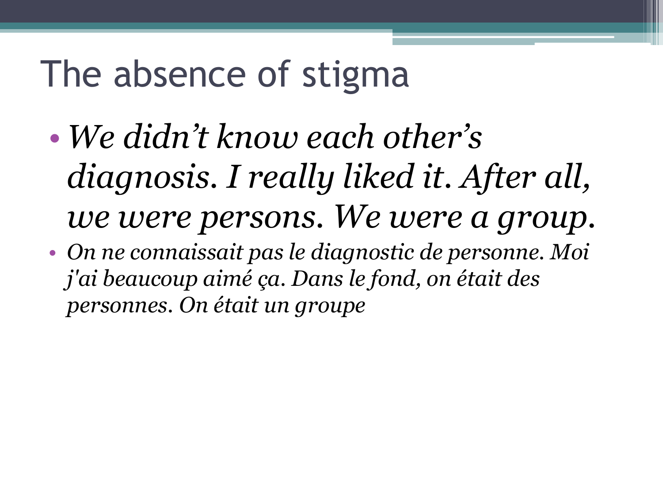### The absence of stigma

- *We didn't know each other's diagnosis. I really liked it. After all, we were persons. We were a group.*
- *On ne connaissait pas le diagnostic de personne. Moi j'ai beaucoup aimé ça. Dans le fond, on était des personnes. On était un groupe*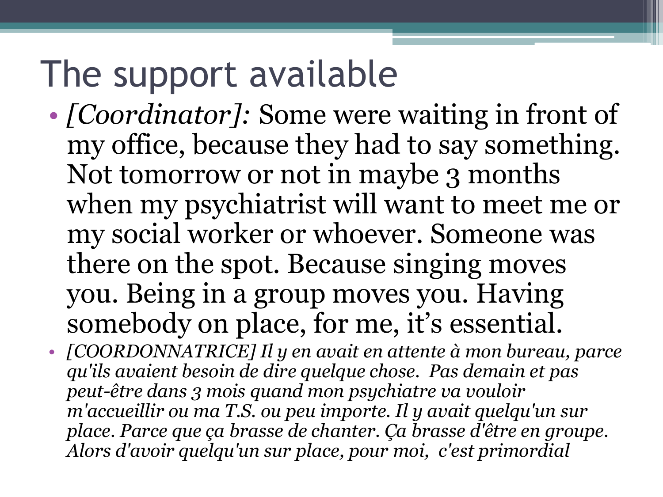### The support available

- *[Coordinator]*: Some were waiting in front of my office, because they had to say something. Not tomorrow or not in maybe 3 months when my psychiatrist will want to meet me or my social worker or whoever. Someone was there on the spot. Because singing moves you. Being in a group moves you. Having somebody on place, for me, it's essential.
- *[COORDONNATRICE] Il y en avait en attente à mon bureau, parce qu'ils avaient besoin de dire quelque chose. Pas demain et pas peut-être dans 3 mois quand mon psychiatre va vouloir m'accueillir ou ma T.S. ou peu importe. Il y avait quelqu'un sur place. Parce que ça brasse de chanter. Ça brasse d'être en groupe. Alors d'avoir quelqu'un sur place, pour moi, c'est primordial*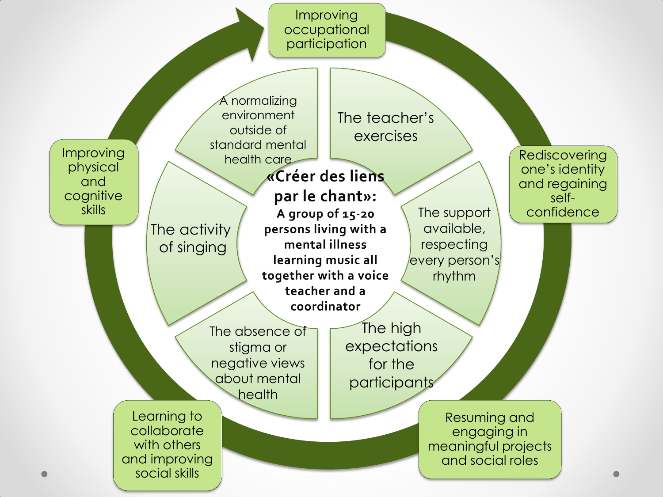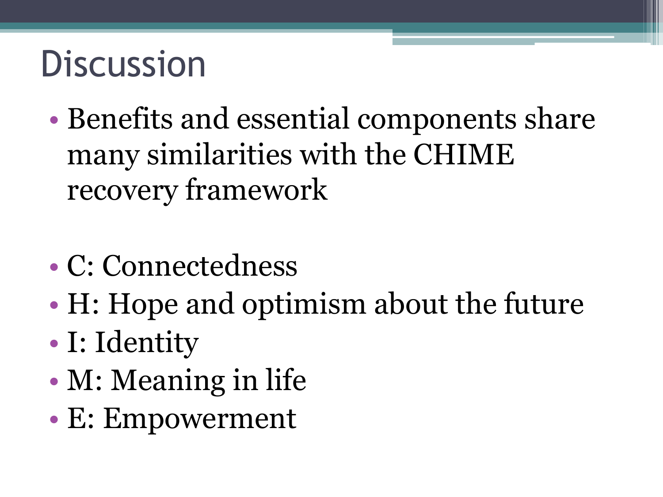### **Discussion**

- Benefits and essential components share many similarities with the CHIME recovery framework
- C: Connectedness
- H: Hope and optimism about the future
- I: Identity
- M: Meaning in life
- E: Empowerment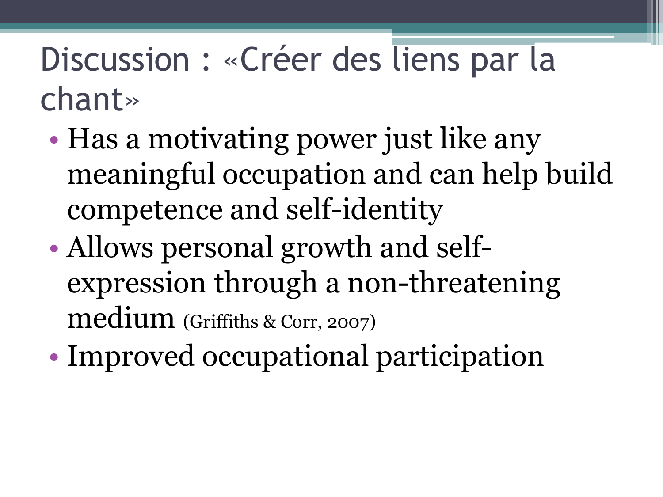#### Discussion : «Créer des liens par la chant»

- Has a motivating power just like any meaningful occupation and can help build competence and self-identity
- Allows personal growth and selfexpression through a non-threatening medium (Griffiths & Corr, 2007)
- Improved occupational participation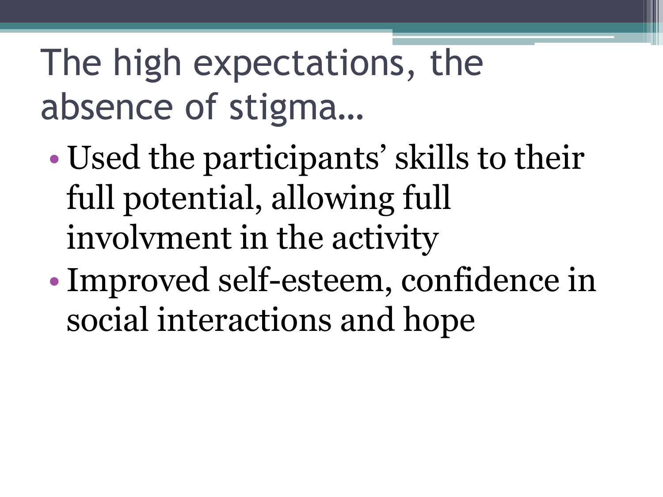# The high expectations, the absence of stigma…

- Used the participants' skills to their full potential, allowing full involvment in the activity
- Improved self-esteem, confidence in social interactions and hope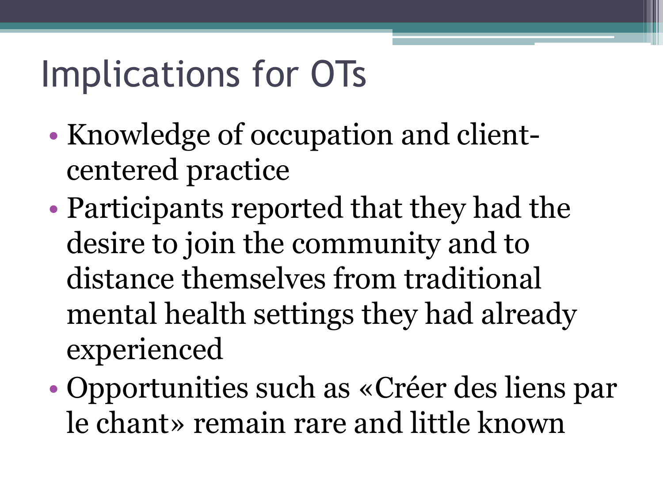## Implications for OTs

- Knowledge of occupation and clientcentered practice
- Participants reported that they had the desire to join the community and to distance themselves from traditional mental health settings they had already experienced
- Opportunities such as «Créer des liens par le chant» remain rare and little known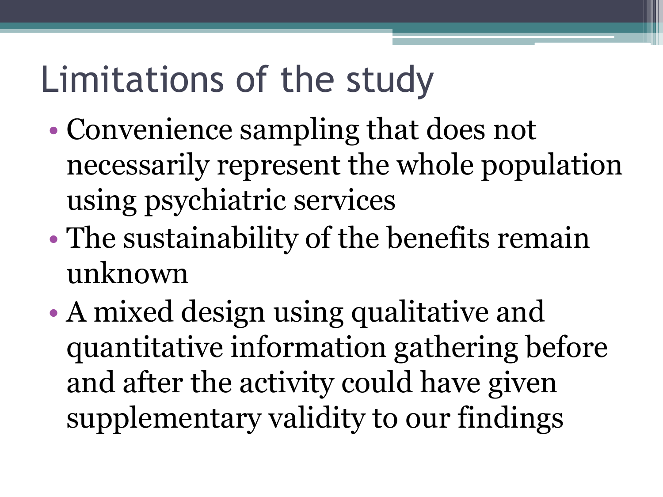### Limitations of the study

- Convenience sampling that does not necessarily represent the whole population using psychiatric services
- The sustainability of the benefits remain unknown
- A mixed design using qualitative and quantitative information gathering before and after the activity could have given supplementary validity to our findings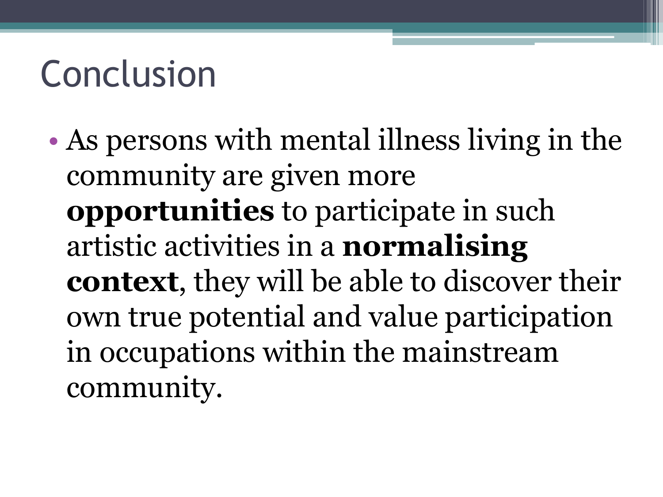### Conclusion

• As persons with mental illness living in the community are given more **opportunities** to participate in such artistic activities in a **normalising context**, they will be able to discover their own true potential and value participation in occupations within the mainstream community.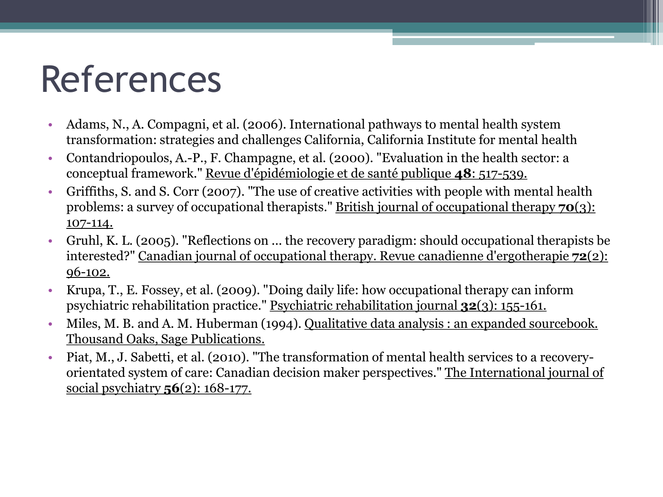### References

- Adams, N., A. Compagni, et al. (2006). International pathways to mental health system transformation: strategies and challenges California, California Institute for mental health
- Contandriopoulos, A.-P., F. Champagne, et al. (2000). "Evaluation in the health sector: a conceptual framework." Revue d'épidémiologie et de santé publique **48**: 517-539.
- Griffiths, S. and S. Corr (2007). "The use of creative activities with people with mental health problems: a survey of occupational therapists." British journal of occupational therapy **70**(3): 107-114.
- Gruhl, K. L. (2005). "Reflections on ... the recovery paradigm: should occupational therapists be interested?" Canadian journal of occupational therapy. Revue canadienne d'ergotherapie **72**(2): 96-102.
- Krupa, T., E. Fossey, et al. (2009). "Doing daily life: how occupational therapy can inform psychiatric rehabilitation practice." Psychiatric rehabilitation journal **32**(3): 155-161.
- Miles, M. B. and A. M. Huberman (1994). Qualitative data analysis: an expanded sourcebook. Thousand Oaks, Sage Publications.
- Piat, M., J. Sabetti, et al. (2010). "The transformation of mental health services to a recoveryorientated system of care: Canadian decision maker perspectives." The International journal of social psychiatry **56**(2): 168-177.